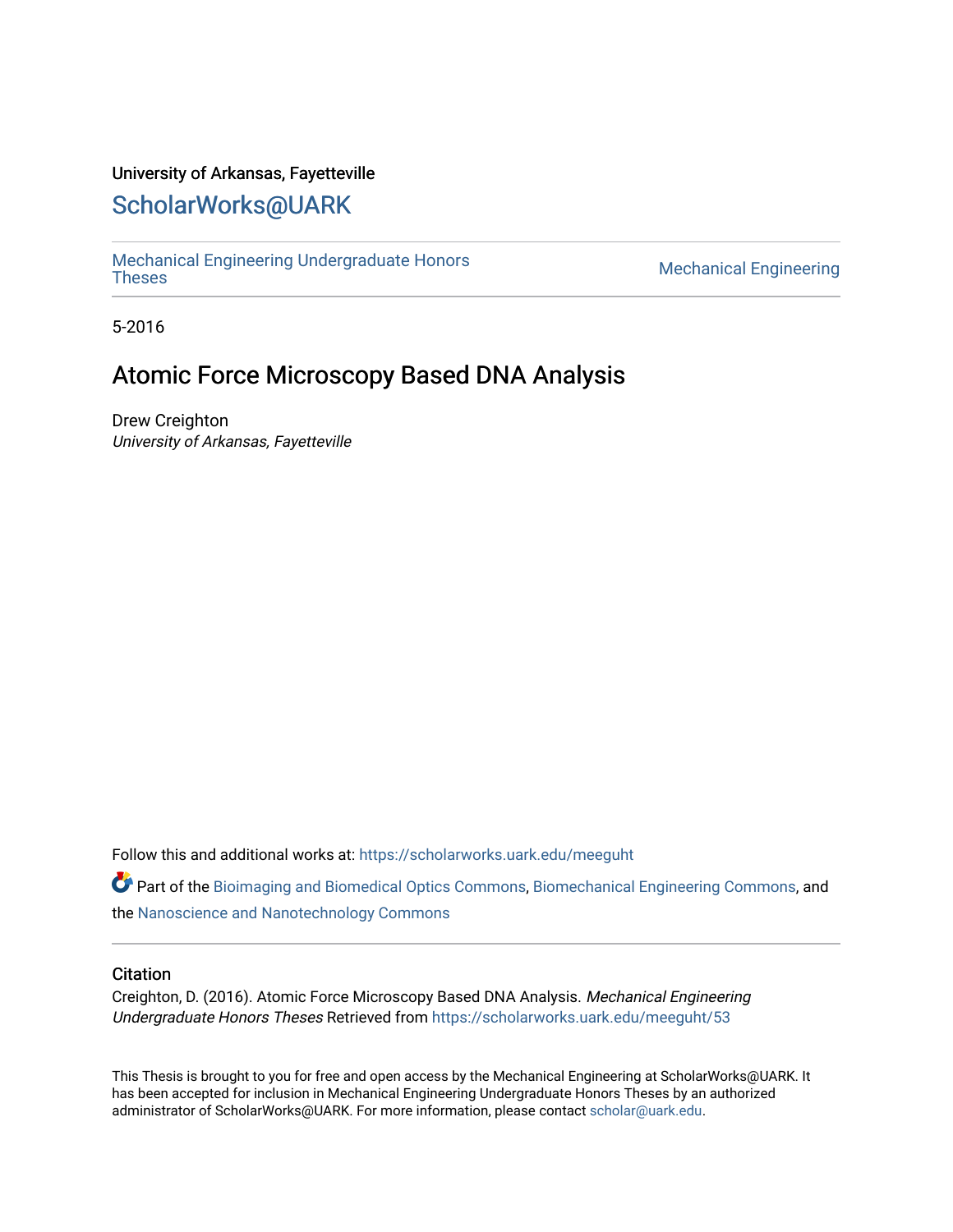## University of Arkansas, Fayetteville

# [ScholarWorks@UARK](https://scholarworks.uark.edu/)

[Mechanical Engineering Undergraduate Honors](https://scholarworks.uark.edu/meeguht)

**Mechanical Engineering** 

5-2016

# Atomic Force Microscopy Based DNA Analysis

Drew Creighton University of Arkansas, Fayetteville

Follow this and additional works at: [https://scholarworks.uark.edu/meeguht](https://scholarworks.uark.edu/meeguht?utm_source=scholarworks.uark.edu%2Fmeeguht%2F53&utm_medium=PDF&utm_campaign=PDFCoverPages) 

Part of the [Bioimaging and Biomedical Optics Commons](http://network.bepress.com/hgg/discipline/232?utm_source=scholarworks.uark.edu%2Fmeeguht%2F53&utm_medium=PDF&utm_campaign=PDFCoverPages), [Biomechanical Engineering Commons,](http://network.bepress.com/hgg/discipline/296?utm_source=scholarworks.uark.edu%2Fmeeguht%2F53&utm_medium=PDF&utm_campaign=PDFCoverPages) and the [Nanoscience and Nanotechnology Commons](http://network.bepress.com/hgg/discipline/313?utm_source=scholarworks.uark.edu%2Fmeeguht%2F53&utm_medium=PDF&utm_campaign=PDFCoverPages)

### **Citation**

Creighton, D. (2016). Atomic Force Microscopy Based DNA Analysis. Mechanical Engineering Undergraduate Honors Theses Retrieved from [https://scholarworks.uark.edu/meeguht/53](https://scholarworks.uark.edu/meeguht/53?utm_source=scholarworks.uark.edu%2Fmeeguht%2F53&utm_medium=PDF&utm_campaign=PDFCoverPages) 

This Thesis is brought to you for free and open access by the Mechanical Engineering at ScholarWorks@UARK. It has been accepted for inclusion in Mechanical Engineering Undergraduate Honors Theses by an authorized administrator of ScholarWorks@UARK. For more information, please contact [scholar@uark.edu](mailto:scholar@uark.edu).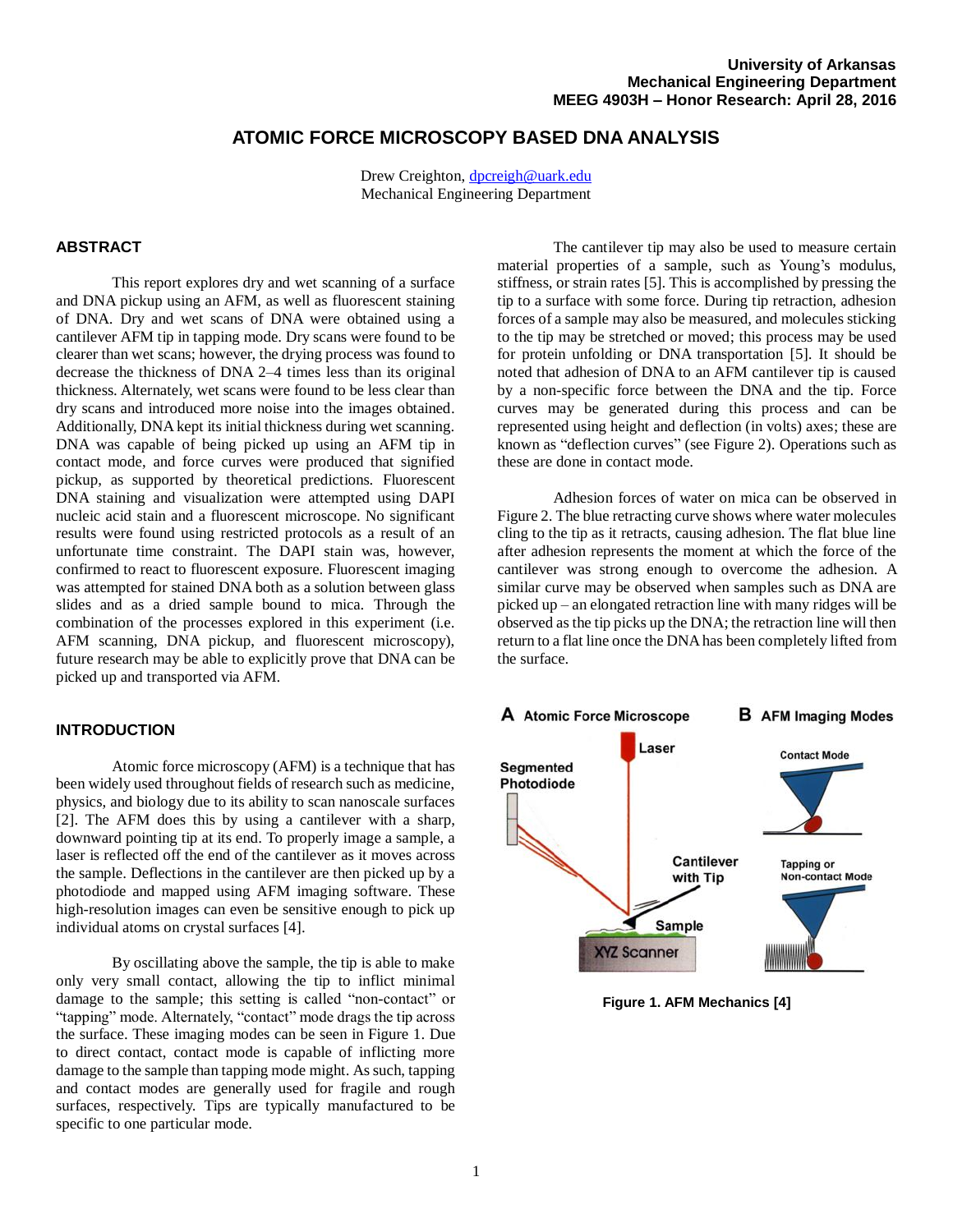## **ATOMIC FORCE MICROSCOPY BASED DNA ANALYSIS**

Drew Creighton, [dpcreigh@uark.edu](mailto:dpcreigh@uark.edu) Mechanical Engineering Department

#### **ABSTRACT**

This report explores dry and wet scanning of a surface and DNA pickup using an AFM, as well as fluorescent staining of DNA. Dry and wet scans of DNA were obtained using a cantilever AFM tip in tapping mode. Dry scans were found to be clearer than wet scans; however, the drying process was found to decrease the thickness of DNA 2–4 times less than its original thickness. Alternately, wet scans were found to be less clear than dry scans and introduced more noise into the images obtained. Additionally, DNA kept its initial thickness during wet scanning. DNA was capable of being picked up using an AFM tip in contact mode, and force curves were produced that signified pickup, as supported by theoretical predictions. Fluorescent DNA staining and visualization were attempted using DAPI nucleic acid stain and a fluorescent microscope. No significant results were found using restricted protocols as a result of an unfortunate time constraint. The DAPI stain was, however, confirmed to react to fluorescent exposure. Fluorescent imaging was attempted for stained DNA both as a solution between glass slides and as a dried sample bound to mica. Through the combination of the processes explored in this experiment (i.e. AFM scanning, DNA pickup, and fluorescent microscopy), future research may be able to explicitly prove that DNA can be picked up and transported via AFM.

#### **INTRODUCTION**

Atomic force microscopy (AFM) is a technique that has been widely used throughout fields of research such as medicine, physics, and biology due to its ability to scan nanoscale surfaces [2]. The AFM does this by using a cantilever with a sharp, downward pointing tip at its end. To properly image a sample, a laser is reflected off the end of the cantilever as it moves across the sample. Deflections in the cantilever are then picked up by a photodiode and mapped using AFM imaging software. These high-resolution images can even be sensitive enough to pick up individual atoms on crystal surfaces [4].

By oscillating above the sample, the tip is able to make only very small contact, allowing the tip to inflict minimal damage to the sample; this setting is called "non-contact" or "tapping" mode. Alternately, "contact" mode drags the tip across the surface. These imaging modes can be seen in Figure 1. Due to direct contact, contact mode is capable of inflicting more damage to the sample than tapping mode might. As such, tapping and contact modes are generally used for fragile and rough surfaces, respectively. Tips are typically manufactured to be specific to one particular mode.

The cantilever tip may also be used to measure certain material properties of a sample, such as Young's modulus, stiffness, or strain rates [5]. This is accomplished by pressing the tip to a surface with some force. During tip retraction, adhesion forces of a sample may also be measured, and molecules sticking to the tip may be stretched or moved; this process may be used for protein unfolding or DNA transportation [5]. It should be noted that adhesion of DNA to an AFM cantilever tip is caused by a non-specific force between the DNA and the tip. Force curves may be generated during this process and can be represented using height and deflection (in volts) axes; these are known as "deflection curves" (see Figure 2). Operations such as these are done in contact mode.

Adhesion forces of water on mica can be observed in Figure 2. The blue retracting curve shows where water molecules cling to the tip as it retracts, causing adhesion. The flat blue line after adhesion represents the moment at which the force of the cantilever was strong enough to overcome the adhesion. A similar curve may be observed when samples such as DNA are picked up – an elongated retraction line with many ridges will be observed as the tip picks up the DNA; the retraction line will then return to a flat line once the DNA has been completely lifted from the surface.



**Figure 1. AFM Mechanics [4]**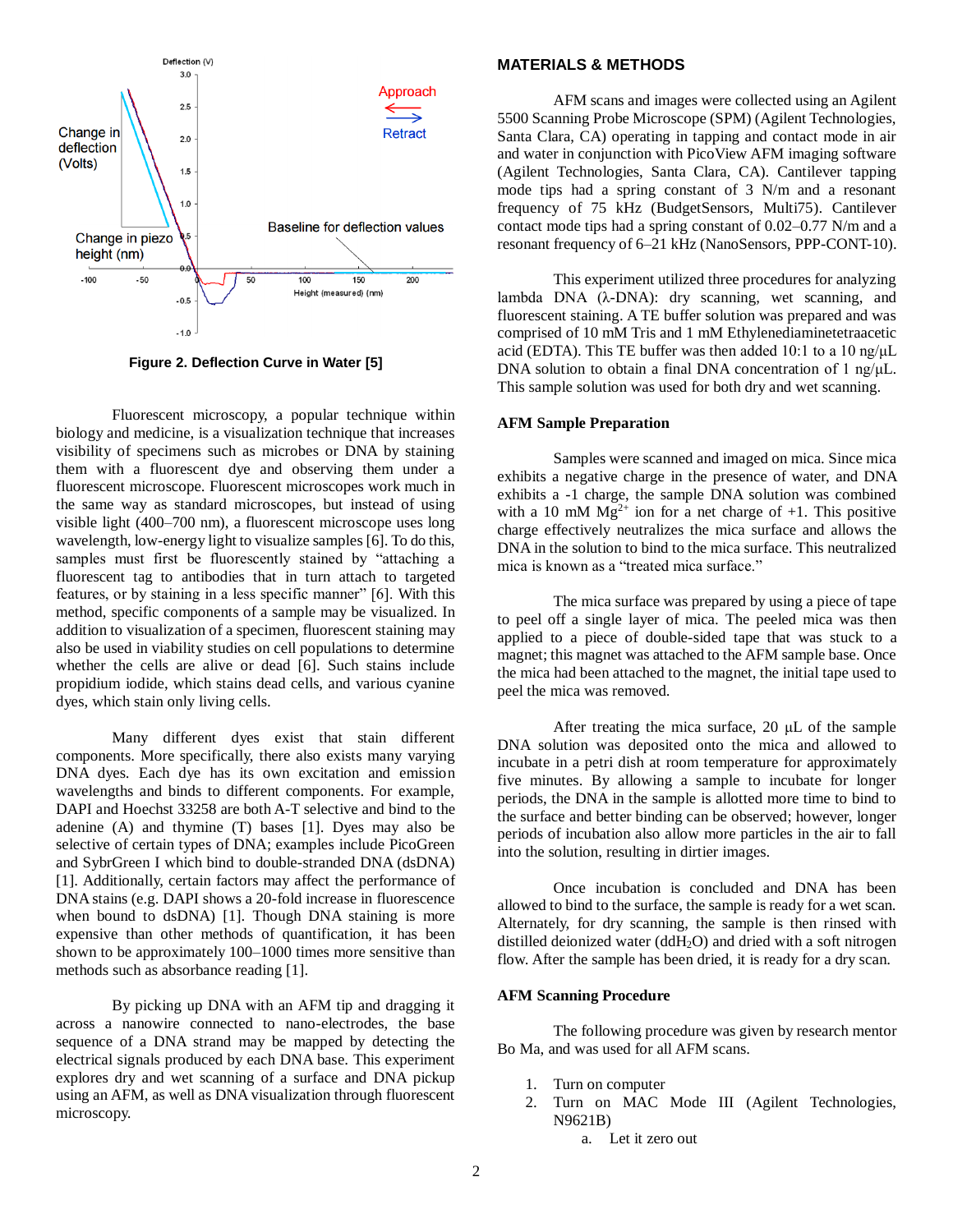

**Figure 2. Deflection Curve in Water [5]**

Fluorescent microscopy, a popular technique within biology and medicine, is a visualization technique that increases visibility of specimens such as microbes or DNA by staining them with a fluorescent dye and observing them under a fluorescent microscope. Fluorescent microscopes work much in the same way as standard microscopes, but instead of using visible light (400–700 nm), a fluorescent microscope uses long wavelength, low-energy light to visualize samples [6]. To do this, samples must first be fluorescently stained by "attaching a fluorescent tag to antibodies that in turn attach to targeted features, or by staining in a less specific manner" [6]. With this method, specific components of a sample may be visualized. In addition to visualization of a specimen, fluorescent staining may also be used in viability studies on cell populations to determine whether the cells are alive or dead [6]. Such stains include propidium iodide, which stains dead cells, and various cyanine dyes, which stain only living cells.

Many different dyes exist that stain different components. More specifically, there also exists many varying DNA dyes. Each dye has its own excitation and emission wavelengths and binds to different components. For example, DAPI and Hoechst 33258 are both A-T selective and bind to the adenine (A) and thymine (T) bases [1]. Dyes may also be selective of certain types of DNA; examples include PicoGreen and SybrGreen I which bind to double-stranded DNA (dsDNA) [1]. Additionally, certain factors may affect the performance of DNA stains (e.g. DAPI shows a 20-fold increase in fluorescence when bound to dsDNA) [1]. Though DNA staining is more expensive than other methods of quantification, it has been shown to be approximately 100–1000 times more sensitive than methods such as absorbance reading [1].

By picking up DNA with an AFM tip and dragging it across a nanowire connected to nano-electrodes, the base sequence of a DNA strand may be mapped by detecting the electrical signals produced by each DNA base. This experiment explores dry and wet scanning of a surface and DNA pickup using an AFM, as well as DNA visualization through fluorescent microscopy.

#### **MATERIALS & METHODS**

AFM scans and images were collected using an Agilent 5500 Scanning Probe Microscope (SPM) (Agilent Technologies, Santa Clara, CA) operating in tapping and contact mode in air and water in conjunction with PicoView AFM imaging software (Agilent Technologies, Santa Clara, CA). Cantilever tapping mode tips had a spring constant of 3 N/m and a resonant frequency of 75 kHz (BudgetSensors, Multi75). Cantilever contact mode tips had a spring constant of 0.02–0.77 N/m and a resonant frequency of 6–21 kHz (NanoSensors, PPP-CONT-10).

This experiment utilized three procedures for analyzing lambda DNA (λ-DNA): dry scanning, wet scanning, and fluorescent staining. A TE buffer solution was prepared and was comprised of 10 mM Tris and 1 mM Ethylenediaminetetraacetic acid (EDTA). This TE buffer was then added 10:1 to a 10 ng/ $\mu$ L DNA solution to obtain a final DNA concentration of 1 ng/ $\mu$ L. This sample solution was used for both dry and wet scanning.

#### **AFM Sample Preparation**

Samples were scanned and imaged on mica. Since mica exhibits a negative charge in the presence of water, and DNA exhibits a -1 charge, the sample DNA solution was combined with a 10 mM  $Mg^{2+}$  ion for a net charge of +1. This positive charge effectively neutralizes the mica surface and allows the DNA in the solution to bind to the mica surface. This neutralized mica is known as a "treated mica surface."

The mica surface was prepared by using a piece of tape to peel off a single layer of mica. The peeled mica was then applied to a piece of double-sided tape that was stuck to a magnet; this magnet was attached to the AFM sample base. Once the mica had been attached to the magnet, the initial tape used to peel the mica was removed.

After treating the mica surface, 20 μL of the sample DNA solution was deposited onto the mica and allowed to incubate in a petri dish at room temperature for approximately five minutes. By allowing a sample to incubate for longer periods, the DNA in the sample is allotted more time to bind to the surface and better binding can be observed; however, longer periods of incubation also allow more particles in the air to fall into the solution, resulting in dirtier images.

Once incubation is concluded and DNA has been allowed to bind to the surface, the sample is ready for a wet scan. Alternately, for dry scanning, the sample is then rinsed with distilled deionized water (ddH2O) and dried with a soft nitrogen flow. After the sample has been dried, it is ready for a dry scan.

#### **AFM Scanning Procedure**

The following procedure was given by research mentor Bo Ma, and was used for all AFM scans.

- 1. Turn on computer
- 2. Turn on MAC Mode III (Agilent Technologies, N9621B)
	- a. Let it zero out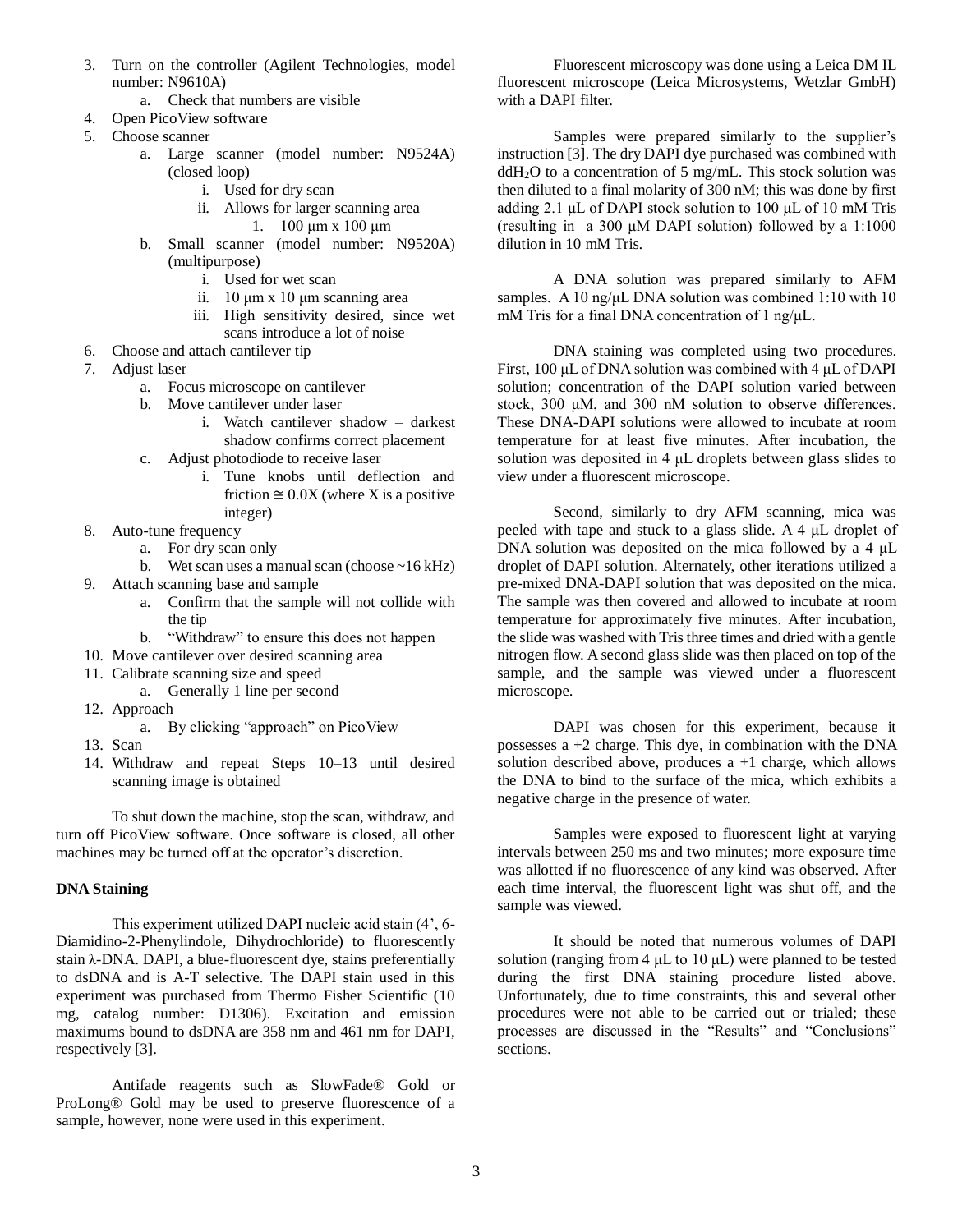- 3. Turn on the controller (Agilent Technologies, model number: N9610A)
	- a. Check that numbers are visible
- 4. Open PicoView software
- 5. Choose scanner
	- a. Large scanner (model number: N9524A) (closed loop)
		- i. Used for dry scan
		- ii. Allows for larger scanning area 1. 100 μm x 100 μm
	- b. Small scanner (model number: N9520A) (multipurpose)
		- i. Used for wet scan
		- ii. 10 μm x 10 μm scanning area
		- iii. High sensitivity desired, since wet scans introduce a lot of noise
- 6. Choose and attach cantilever tip
- 7. Adjust laser
	- a. Focus microscope on cantilever
	- b. Move cantilever under laser
		- i. Watch cantilever shadow darkest shadow confirms correct placement
	- c. Adjust photodiode to receive laser
		- i. Tune knobs until deflection and friction  $\approx 0.0X$  (where X is a positive integer)
- 8. Auto-tune frequency
	- a. For dry scan only
	- b. Wet scan uses a manual scan (choose  $\sim$  16 kHz)
- 9. Attach scanning base and sample
	- a. Confirm that the sample will not collide with the tip
	- b. "Withdraw" to ensure this does not happen
- 10. Move cantilever over desired scanning area
- 11. Calibrate scanning size and speed
- a. Generally 1 line per second
- 12. Approach
	- a. By clicking "approach" on PicoView
- 13. Scan
- 14. Withdraw and repeat Steps 10–13 until desired scanning image is obtained

To shut down the machine, stop the scan, withdraw, and turn off PicoView software. Once software is closed, all other machines may be turned off at the operator's discretion.

#### **DNA Staining**

This experiment utilized DAPI nucleic acid stain (4', 6- Diamidino-2-Phenylindole, Dihydrochloride) to fluorescently stain λ-DNA. DAPI, a blue-fluorescent dye, stains preferentially to dsDNA and is A-T selective. The DAPI stain used in this experiment was purchased from Thermo Fisher Scientific (10 mg, catalog number: D1306). Excitation and emission maximums bound to dsDNA are 358 nm and 461 nm for DAPI, respectively [3].

Antifade reagents such as SlowFade® Gold or ProLong® Gold may be used to preserve fluorescence of a sample, however, none were used in this experiment.

Fluorescent microscopy was done using a Leica DM IL fluorescent microscope (Leica Microsystems, Wetzlar GmbH) with a DAPI filter.

Samples were prepared similarly to the supplier's instruction [3]. The dry DAPI dye purchased was combined with  $ddH<sub>2</sub>O$  to a concentration of 5 mg/mL. This stock solution was then diluted to a final molarity of 300 nM; this was done by first adding 2.1 μL of DAPI stock solution to 100 μL of 10 mM Tris (resulting in a 300 μM DAPI solution) followed by a 1:1000 dilution in 10 mM Tris.

A DNA solution was prepared similarly to AFM samples. A 10 ng/ $\mu$ L DNA solution was combined 1:10 with 10 mM Tris for a final DNA concentration of 1 ng/μL.

DNA staining was completed using two procedures. First, 100 μL of DNA solution was combined with 4 μL of DAPI solution; concentration of the DAPI solution varied between stock, 300 μM, and 300 nM solution to observe differences. These DNA-DAPI solutions were allowed to incubate at room temperature for at least five minutes. After incubation, the solution was deposited in 4 μL droplets between glass slides to view under a fluorescent microscope.

Second, similarly to dry AFM scanning, mica was peeled with tape and stuck to a glass slide. A 4 μL droplet of DNA solution was deposited on the mica followed by a 4 μL droplet of DAPI solution. Alternately, other iterations utilized a pre-mixed DNA-DAPI solution that was deposited on the mica. The sample was then covered and allowed to incubate at room temperature for approximately five minutes. After incubation, the slide was washed with Tris three times and dried with a gentle nitrogen flow. A second glass slide was then placed on top of the sample, and the sample was viewed under a fluorescent microscope.

DAPI was chosen for this experiment, because it possesses a +2 charge. This dye, in combination with the DNA solution described above, produces  $a + 1$  charge, which allows the DNA to bind to the surface of the mica, which exhibits a negative charge in the presence of water.

Samples were exposed to fluorescent light at varying intervals between 250 ms and two minutes; more exposure time was allotted if no fluorescence of any kind was observed. After each time interval, the fluorescent light was shut off, and the sample was viewed.

It should be noted that numerous volumes of DAPI solution (ranging from 4  $\mu$ L to 10  $\mu$ L) were planned to be tested during the first DNA staining procedure listed above. Unfortunately, due to time constraints, this and several other procedures were not able to be carried out or trialed; these processes are discussed in the "Results" and "Conclusions" sections.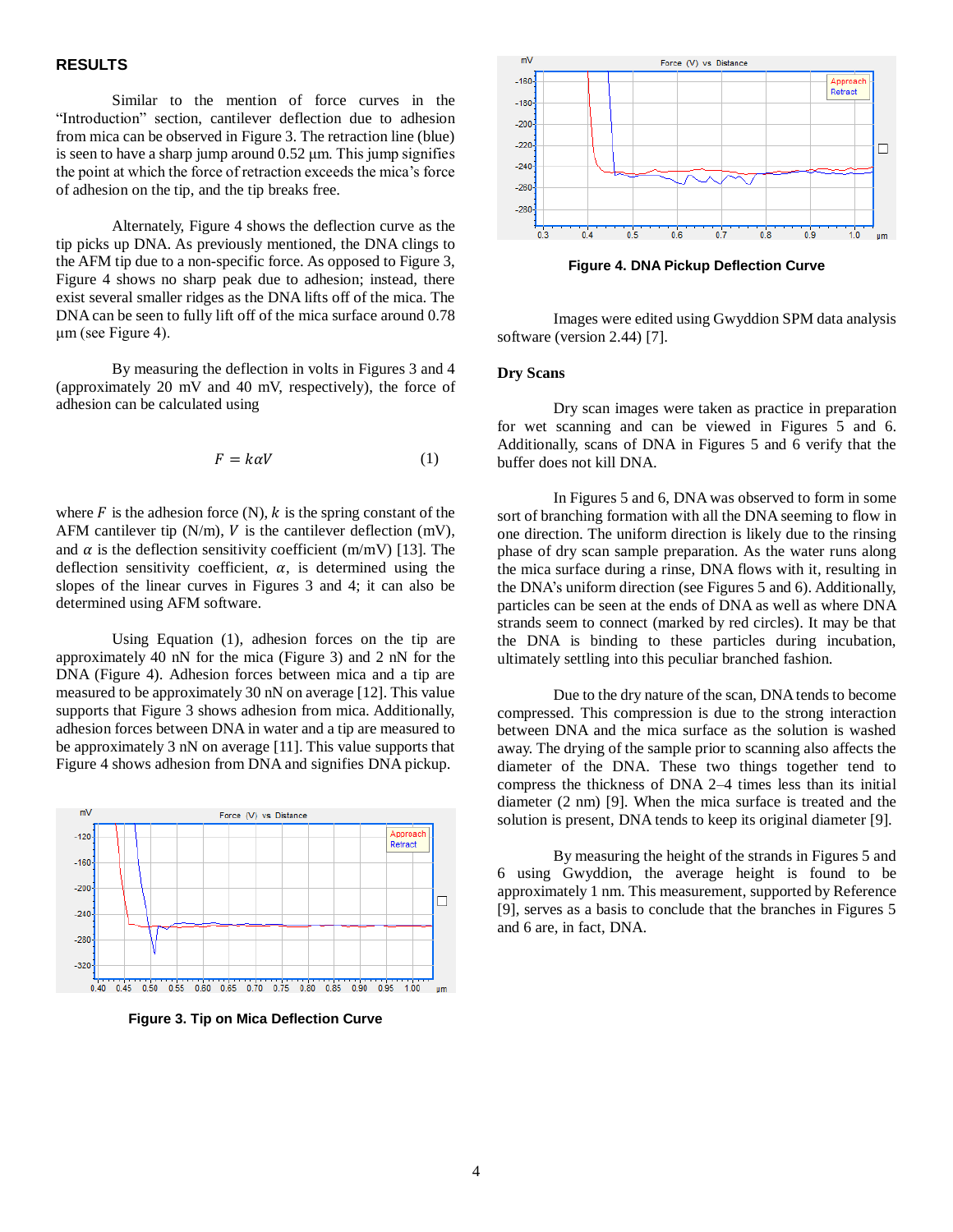#### **RESULTS**

Similar to the mention of force curves in the "Introduction" section, cantilever deflection due to adhesion from mica can be observed in Figure 3. The retraction line (blue) is seen to have a sharp jump around 0.52 μm. This jump signifies the point at which the force of retraction exceeds the mica's force of adhesion on the tip, and the tip breaks free.

Alternately, Figure 4 shows the deflection curve as the tip picks up DNA. As previously mentioned, the DNA clings to the AFM tip due to a non-specific force. As opposed to Figure 3, Figure 4 shows no sharp peak due to adhesion; instead, there exist several smaller ridges as the DNA lifts off of the mica. The DNA can be seen to fully lift off of the mica surface around 0.78 μm (see Figure 4).

By measuring the deflection in volts in Figures 3 and 4 (approximately 20 mV and 40 mV, respectively), the force of adhesion can be calculated using

$$
F = k\alpha V \tag{1}
$$

where  $F$  is the adhesion force (N),  $k$  is the spring constant of the AFM cantilever tip  $(N/m)$ ,  $V$  is the cantilever deflection  $(mV)$ , and  $\alpha$  is the deflection sensitivity coefficient (m/mV) [13]. The deflection sensitivity coefficient,  $\alpha$ , is determined using the slopes of the linear curves in Figures 3 and 4; it can also be determined using AFM software.

Using Equation (1), adhesion forces on the tip are approximately 40 nN for the mica (Figure 3) and 2 nN for the DNA (Figure 4). Adhesion forces between mica and a tip are measured to be approximately 30 nN on average [12]. This value supports that Figure 3 shows adhesion from mica. Additionally, adhesion forces between DNA in water and a tip are measured to be approximately 3 nN on average [11]. This value supports that Figure 4 shows adhesion from DNA and signifies DNA pickup.



**Figure 3. Tip on Mica Deflection Curve**



**Figure 4. DNA Pickup Deflection Curve**

Images were edited using Gwyddion SPM data analysis software (version 2.44) [7].

#### **Dry Scans**

Dry scan images were taken as practice in preparation for wet scanning and can be viewed in Figures 5 and 6. Additionally, scans of DNA in Figures 5 and 6 verify that the buffer does not kill DNA.

In Figures 5 and 6, DNA was observed to form in some sort of branching formation with all the DNA seeming to flow in one direction. The uniform direction is likely due to the rinsing phase of dry scan sample preparation. As the water runs along the mica surface during a rinse, DNA flows with it, resulting in the DNA's uniform direction (see Figures 5 and 6). Additionally, particles can be seen at the ends of DNA as well as where DNA strands seem to connect (marked by red circles). It may be that the DNA is binding to these particles during incubation, ultimately settling into this peculiar branched fashion.

Due to the dry nature of the scan, DNA tends to become compressed. This compression is due to the strong interaction between DNA and the mica surface as the solution is washed away. The drying of the sample prior to scanning also affects the diameter of the DNA. These two things together tend to compress the thickness of DNA 2–4 times less than its initial diameter (2 nm) [9]. When the mica surface is treated and the solution is present, DNA tends to keep its original diameter [9].

By measuring the height of the strands in Figures 5 and 6 using Gwyddion, the average height is found to be approximately 1 nm. This measurement, supported by Reference [9], serves as a basis to conclude that the branches in Figures 5 and 6 are, in fact, DNA.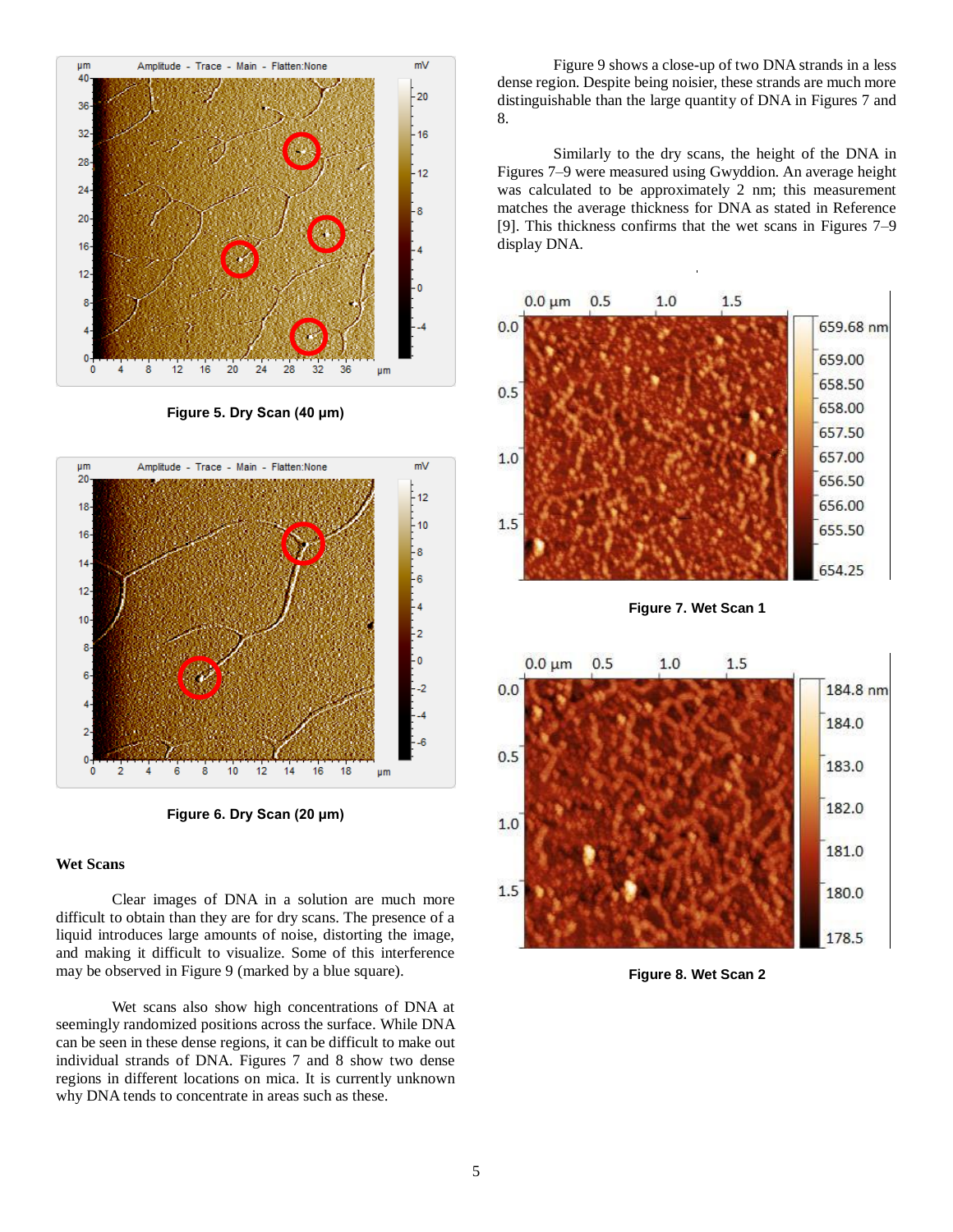

**Figure 5. Dry Scan (40 μm)**



**Figure 6. Dry Scan (20 μm)**

#### **Wet Scans**

Clear images of DNA in a solution are much more difficult to obtain than they are for dry scans. The presence of a liquid introduces large amounts of noise, distorting the image, and making it difficult to visualize. Some of this interference may be observed in Figure 9 (marked by a blue square).

Wet scans also show high concentrations of DNA at seemingly randomized positions across the surface. While DNA can be seen in these dense regions, it can be difficult to make out individual strands of DNA. Figures 7 and 8 show two dense regions in different locations on mica. It is currently unknown why DNA tends to concentrate in areas such as these.

Figure 9 shows a close-up of two DNA strands in a less dense region. Despite being noisier, these strands are much more distinguishable than the large quantity of DNA in Figures 7 and 8.

Similarly to the dry scans, the height of the DNA in Figures 7–9 were measured using Gwyddion. An average height was calculated to be approximately 2 nm; this measurement matches the average thickness for DNA as stated in Reference [9]. This thickness confirms that the wet scans in Figures 7–9 display DNA.



**Figure 7. Wet Scan 1**



**Figure 8. Wet Scan 2**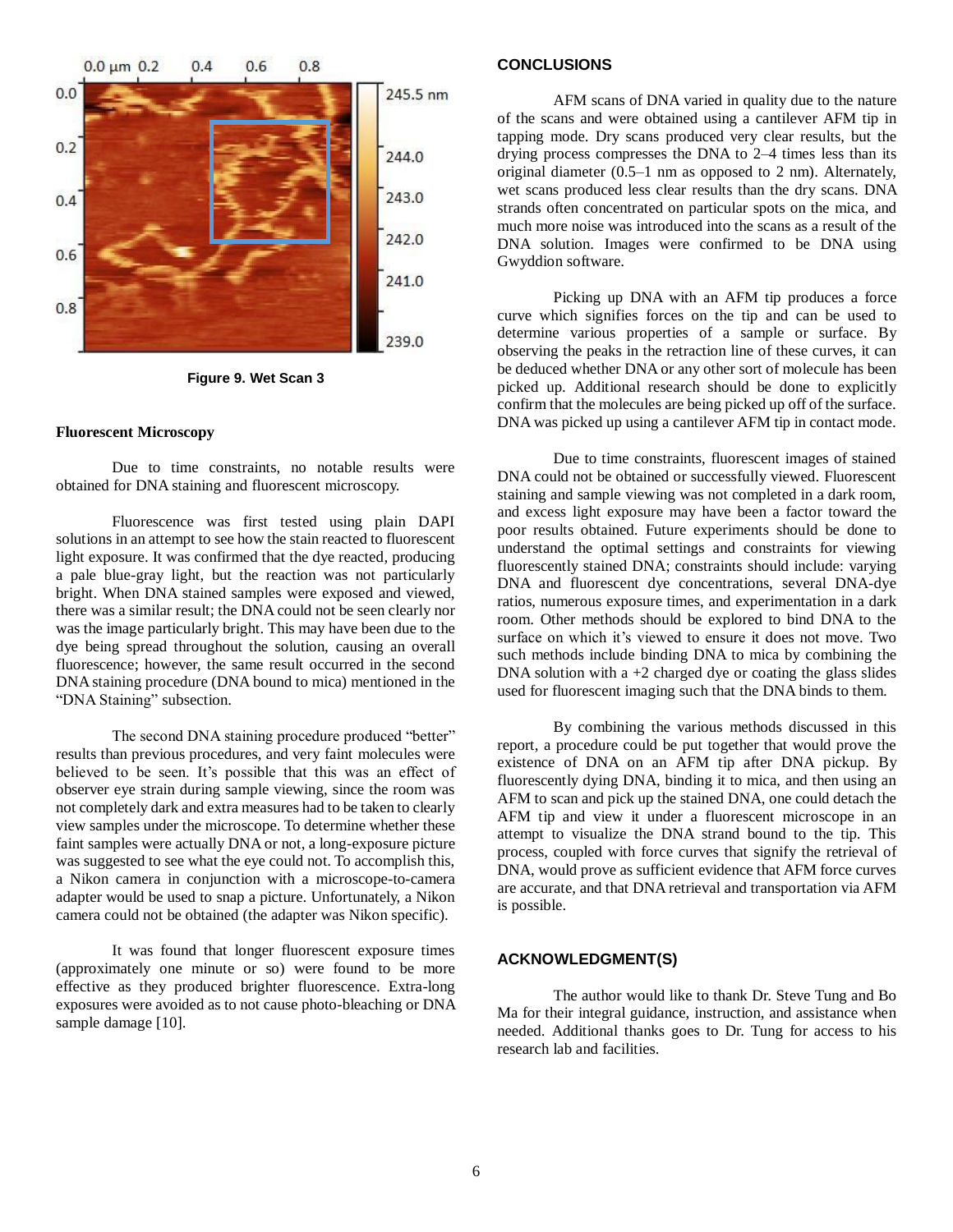

**Figure 9. Wet Scan 3**

#### **Fluorescent Microscopy**

Due to time constraints, no notable results were obtained for DNA staining and fluorescent microscopy.

Fluorescence was first tested using plain DAPI solutions in an attempt to see how the stain reacted to fluorescent light exposure. It was confirmed that the dye reacted, producing a pale blue-gray light, but the reaction was not particularly bright. When DNA stained samples were exposed and viewed, there was a similar result; the DNA could not be seen clearly nor was the image particularly bright. This may have been due to the dye being spread throughout the solution, causing an overall fluorescence; however, the same result occurred in the second DNA staining procedure (DNA bound to mica) mentioned in the "DNA Staining" subsection.

The second DNA staining procedure produced "better" results than previous procedures, and very faint molecules were believed to be seen. It's possible that this was an effect of observer eye strain during sample viewing, since the room was not completely dark and extra measures had to be taken to clearly view samples under the microscope. To determine whether these faint samples were actually DNA or not, a long-exposure picture was suggested to see what the eye could not. To accomplish this, a Nikon camera in conjunction with a microscope-to-camera adapter would be used to snap a picture. Unfortunately, a Nikon camera could not be obtained (the adapter was Nikon specific).

It was found that longer fluorescent exposure times (approximately one minute or so) were found to be more effective as they produced brighter fluorescence. Extra-long exposures were avoided as to not cause photo-bleaching or DNA sample damage [10].

#### **CONCLUSIONS**

AFM scans of DNA varied in quality due to the nature of the scans and were obtained using a cantilever AFM tip in tapping mode. Dry scans produced very clear results, but the drying process compresses the DNA to 2–4 times less than its original diameter (0.5–1 nm as opposed to 2 nm). Alternately, wet scans produced less clear results than the dry scans. DNA strands often concentrated on particular spots on the mica, and much more noise was introduced into the scans as a result of the DNA solution. Images were confirmed to be DNA using Gwyddion software.

Picking up DNA with an AFM tip produces a force curve which signifies forces on the tip and can be used to determine various properties of a sample or surface. By observing the peaks in the retraction line of these curves, it can be deduced whether DNA or any other sort of molecule has been picked up. Additional research should be done to explicitly confirm that the molecules are being picked up off of the surface. DNA was picked up using a cantilever AFM tip in contact mode.

Due to time constraints, fluorescent images of stained DNA could not be obtained or successfully viewed. Fluorescent staining and sample viewing was not completed in a dark room, and excess light exposure may have been a factor toward the poor results obtained. Future experiments should be done to understand the optimal settings and constraints for viewing fluorescently stained DNA; constraints should include: varying DNA and fluorescent dye concentrations, several DNA-dye ratios, numerous exposure times, and experimentation in a dark room. Other methods should be explored to bind DNA to the surface on which it's viewed to ensure it does not move. Two such methods include binding DNA to mica by combining the DNA solution with a  $+2$  charged dye or coating the glass slides used for fluorescent imaging such that the DNA binds to them.

By combining the various methods discussed in this report, a procedure could be put together that would prove the existence of DNA on an AFM tip after DNA pickup. By fluorescently dying DNA, binding it to mica, and then using an AFM to scan and pick up the stained DNA, one could detach the AFM tip and view it under a fluorescent microscope in an attempt to visualize the DNA strand bound to the tip. This process, coupled with force curves that signify the retrieval of DNA, would prove as sufficient evidence that AFM force curves are accurate, and that DNA retrieval and transportation via AFM is possible.

#### **ACKNOWLEDGMENT(S)**

The author would like to thank Dr. Steve Tung and Bo Ma for their integral guidance, instruction, and assistance when needed. Additional thanks goes to Dr. Tung for access to his research lab and facilities.